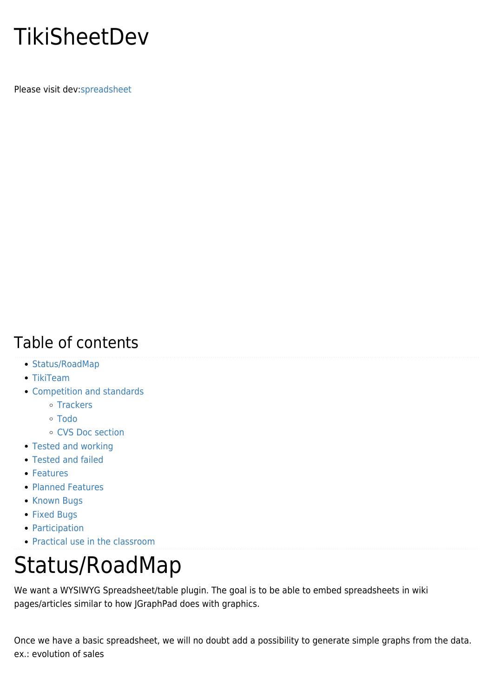## **TikiSheetDev**

Please visit dev[:spreadsheet](http://dev.tiki.org/spreadsheet)

#### Table of contents

- [Status/RoadMap](#page--1-0)
- [TikiTeam](#page--1-0)
- [Competition and standards](#page--1-0)
	- [Trackers](#page--1-0)
	- [Todo](#page--1-0)
	- [CVS Doc section](#page--1-0)
- [Tested and working](#page--1-0)
- [Tested and failed](#page--1-0)
- [Features](#page--1-0)
- [Planned Features](#page--1-0)
- [Known Bugs](#page--1-0)
- [Fixed Bugs](#page--1-0)
- [Participation](#page--1-0)
- [Practical use in the classroom](#page--1-0)

## Status/RoadMap

We want a WYSIWYG Spreadsheet/table plugin. The goal is to be able to embed spreadsheets in wiki pages/articles similar to how JGraphPad does with graphics.

Once we have a basic spreadsheet, we will no doubt add a possibility to generate simple graphs from the data. ex.: evolution of sales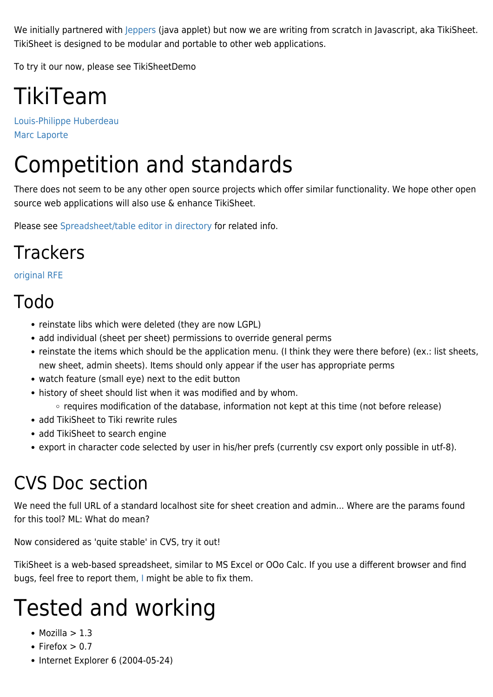We initially partnered with [Jeppers](https://tiki.org/Jeppers) (java applet) but now we are writing from scratch in Javascript, aka TikiSheet. TikiSheet is designed to be modular and portable to other web applications.

To try it our now, please see TikiSheetDemo

# TikiTeam

[Louis-Philippe Huberdeau](https://tiki.org/UserPagelphuberdeau) [Marc Laporte](https://tiki.org/UserPagemarclaporte)

## Competition and standards

There does not seem to be any other open source projects which offer similar functionality. We hope other open source web applications will also use & enhance TikiSheet.

Please see [Spreadsheet/table editor in directory](http://tikiwiki.org/directory70) for related info.

#### **Trackers**

#### [original RFE](http://sourceforge.net/tracker/?group_id=64258&atid=506849&func=detail&aid=633441)

#### Todo

- reinstate libs which were deleted (they are now LGPL)
- add individual (sheet per sheet) permissions to override general perms
- reinstate the items which should be the application menu. (I think they were there before) (ex.: list sheets, new sheet, admin sheets). Items should only appear if the user has appropriate perms
- watch feature (small eye) next to the edit button
- history of sheet should list when it was modified and by whom.
	- requires modification of the database, information not kept at this time (not before release)
- add TikiSheet to Tiki rewrite rules
- add TikiSheet to search engine
- export in character code selected by user in his/her prefs (currently csv export only possible in utf-8).

#### CVS Doc section

We need the full URL of a standard localhost site for sheet creation and admin... Where are the params found for this tool? ML: What do mean?

Now considered as 'quite stable' in CVS, try it out!

TikiSheet is a web-based spreadsheet, similar to MS Excel or OOo Calc. If you use a different browser and find bugs, feel free to report them, [I](https://tiki.org/UserPagelphuberdeau) might be able to fix them.

# Tested and working

- $\bullet$  Mozilla > 1.3
- Firefox  $> 0.7$
- $\bullet$  Internet Explorer 6 (2004-05-24)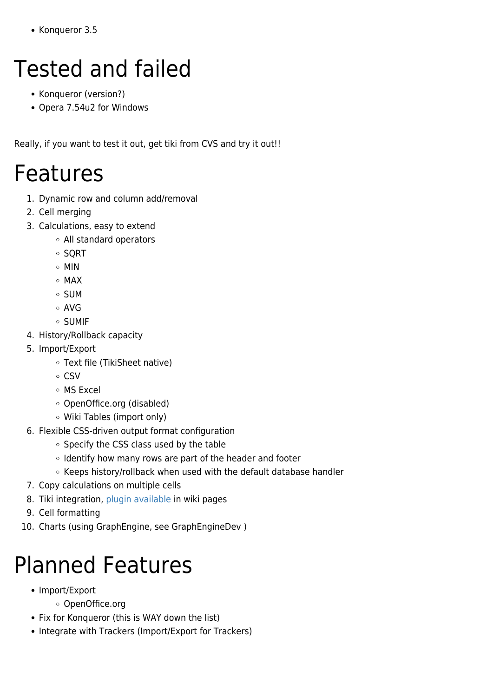• Konqueror 3.5

# Tested and failed

- Konqueror (version?)
- Opera 7.54u2 for Windows

Really, if you want to test it out, get tiki from CVS and try it out!!

#### Features

- 1. Dynamic row and column add/removal
- 2. Cell merging
- 3. Calculations, easy to extend
	- All standard operators
	- SORT
	- MIN
	- o MAX
	- SUM
	- AVG
	- $\circ$  SUMIF
- 4. History/Rollback capacity
- 5. Import/Export
	- Text file (TikiSheet native)
	- $\circ$  CSV
	- MS Excel
	- OpenOffice.org (disabled)
	- Wiki Tables (import only)
- 6. Flexible CSS-driven output format configuration
	- o Specify the CSS class used by the table
	- o Identify how many rows are part of the header and footer
	- $\circ$  Keeps history/rollback when used with the default database handler
- 7. Copy calculations on multiple cells
- 8. Tiki integration, [plugin available](https://tiki.org/PluginSheet) in wiki pages
- 9. Cell formatting
- 10. Charts (using GraphEngine, see GraphEngineDev )

# Planned Features

- Import/Export
	- OpenOffice.org
- Fix for Konqueror (this is WAY down the list)
- Integrate with Trackers (Import/Export for Trackers)